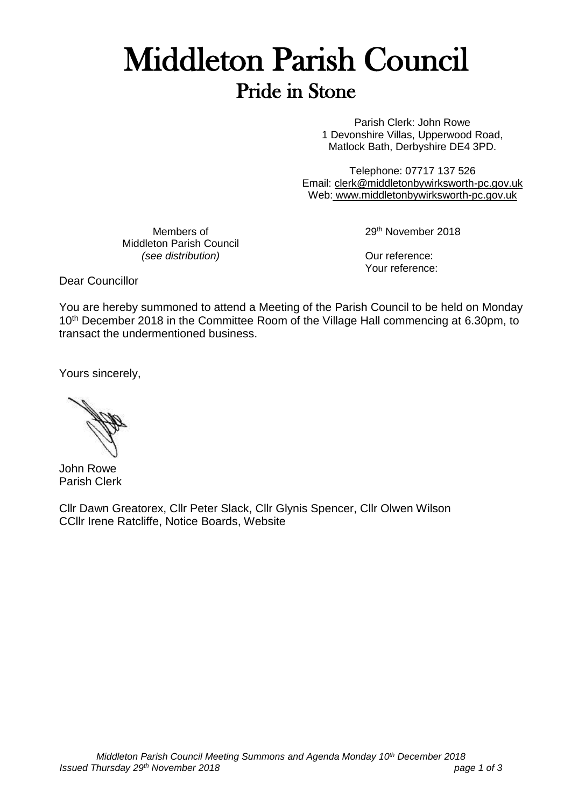# Middleton Parish Council Pride in Stone

Parish Clerk: John Rowe 1 Devonshire Villas, Upperwood Road, Matlock Bath, Derbyshire DE4 3PD.

Telephone: 07717 137 526 Email: [clerk@middletonbywirksworth-pc.gov.uk](mailto:clerk@middletonbywirksworth-pc.gov.uk) Web: [www.middletonbywirksworth-pc.gov.uk](http://www.middletonbywirksworth-pc.gov.uk/)

Members of Middleton Parish Council *(see distribution)*

29th November 2018

Our reference: Your reference:

Dear Councillor

You are hereby summoned to attend a Meeting of the Parish Council to be held on Monday 10<sup>th</sup> December 2018 in the Committee Room of the Village Hall commencing at 6.30pm, to transact the undermentioned business.

Yours sincerely,

John Rowe Parish Clerk

Cllr Dawn Greatorex, Cllr Peter Slack, Cllr Glynis Spencer, Cllr Olwen Wilson CCllr Irene Ratcliffe, Notice Boards, Website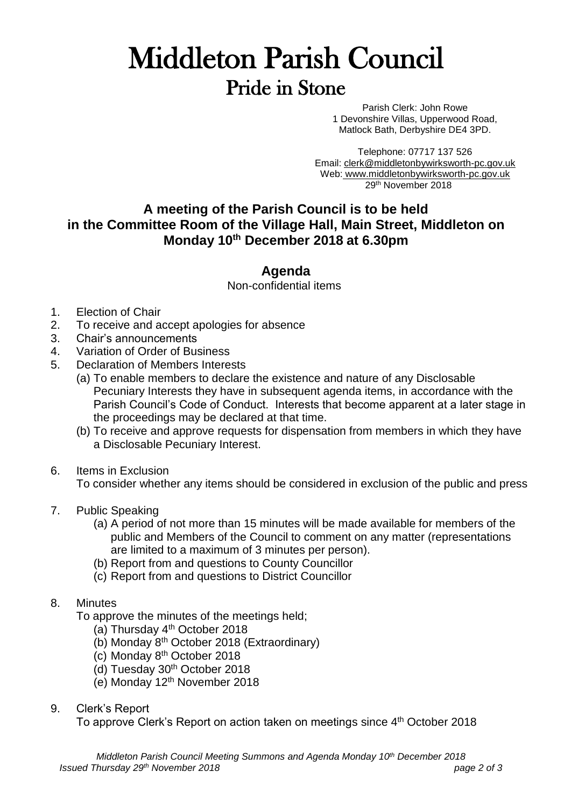## Middleton Parish Council Pride in Stone

Parish Clerk: John Rowe 1 Devonshire Villas, Upperwood Road, Matlock Bath, Derbyshire DE4 3PD.

Telephone: 07717 137 526 Email: [clerk@middletonbywirksworth-pc.gov.uk](mailto:clerk@middletonbywirksworth-pc.gov.uk) Web: [www.middletonbywirksworth-pc.gov.uk](http://www.middletonbywirksworth-pc.gov.uk/) 29th November 2018

### **A meeting of the Parish Council is to be held in the Committee Room of the Village Hall, Main Street, Middleton on Monday 10th December 2018 at 6.30pm**

### **Agenda**

Non-confidential items

- 1. Election of Chair
- 2. To receive and accept apologies for absence
- 3. Chair's announcements
- 4. Variation of Order of Business
- 5. Declaration of Members Interests
	- (a) To enable members to declare the existence and nature of any Disclosable Pecuniary Interests they have in subsequent agenda items, in accordance with the Parish Council's Code of Conduct. Interests that become apparent at a later stage in the proceedings may be declared at that time.
	- (b) To receive and approve requests for dispensation from members in which they have a Disclosable Pecuniary Interest.
- 6. Items in Exclusion

To consider whether any items should be considered in exclusion of the public and press

- 7. Public Speaking
	- (a) A period of not more than 15 minutes will be made available for members of the public and Members of the Council to comment on any matter (representations are limited to a maximum of 3 minutes per person).
	- (b) Report from and questions to County Councillor
	- (c) Report from and questions to District Councillor

#### 8. Minutes

To approve the minutes of the meetings held;

- (a) Thursday  $4<sup>th</sup>$  October 2018
- (b) Monday 8th October 2018 (Extraordinary)
- (c) Monday 8th October 2018
- (d) Tuesday 30th October 2018
- (e) Monday 12th November 2018

#### 9. Clerk's Report

To approve Clerk's Report on action taken on meetings since 4<sup>th</sup> October 2018